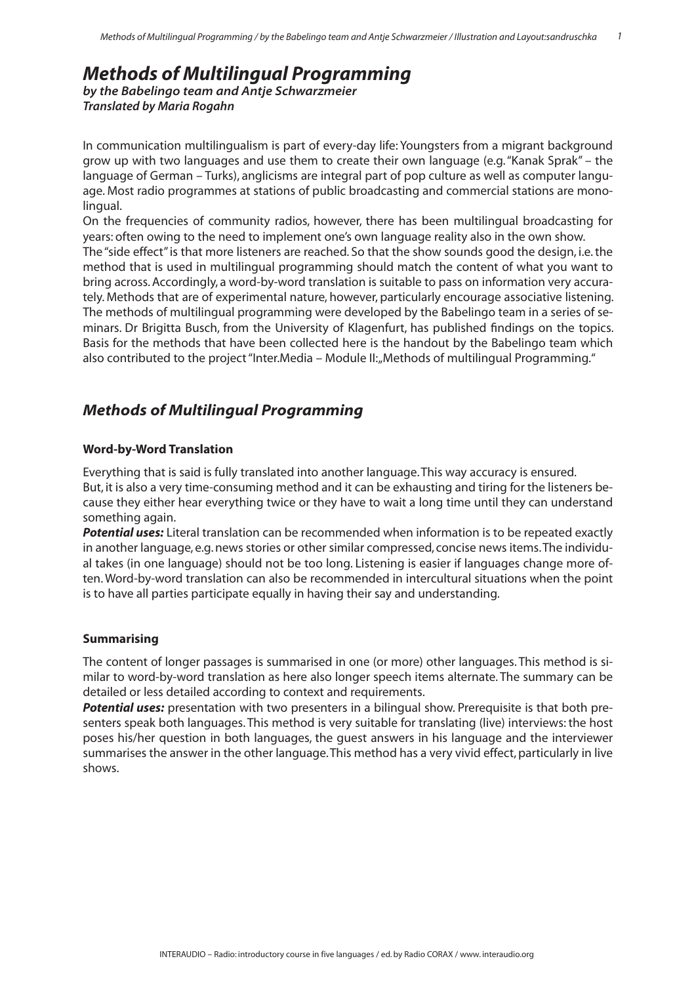# *Methods of Multilingual Programming*

*by the Babelingo team and Antje Schwarzmeier Translated by Maria Rogahn*

In communication multilingualism is part of every-day life: Youngsters from a migrant background grow up with two languages and use them to create their own language (e.g. "Kanak Sprak" – the language of German – Turks), anglicisms are integral part of pop culture as well as computer language. Most radio programmes at stations of public broadcasting and commercial stations are monolingual.

On the frequencies of community radios, however, there has been multilingual broadcasting for years: often owing to the need to implement one's own language reality also in the own show. The "side effect" is that more listeners are reached. So that the show sounds good the design, i.e. the method that is used in multilingual programming should match the content of what you want to bring across. Accordingly, a word-by-word translation is suitable to pass on information very accurately. Methods that are of experimental nature, however, particularly encourage associative listening. The methods of multilingual programming were developed by the Babelingo team in a series of seminars. Dr Brigitta Busch, from the University of Klagenfurt, has published findings on the topics. Basis for the methods that have been collected here is the handout by the Babelingo team which also contributed to the project "Inter.Media – Module II: "Methods of multilingual Programming."

# *Methods of Multilingual Programming*

### **Word-by-Word Translation**

Everything that is said is fully translated into another language. This way accuracy is ensured. But, it is also a very time-consuming method and it can be exhausting and tiring for the listeners because they either hear everything twice or they have to wait a long time until they can understand something again.

*Potential uses:* Literal translation can be recommended when information is to be repeated exactly in another language, e.g. news stories or other similar compressed, concise news items. The individual takes (in one language) should not be too long. Listening is easier if languages change more often. Word-by-word translation can also be recommended in intercultural situations when the point is to have all parties participate equally in having their say and understanding.

### **Summarising**

The content of longer passages is summarised in one (or more) other languages. This method is similar to word-by-word translation as here also longer speech items alternate. The summary can be detailed or less detailed according to context and requirements.

**Potential uses:** presentation with two presenters in a bilingual show. Prerequisite is that both presenters speak both languages. This method is very suitable for translating (live) interviews: the host poses his/her question in both languages, the guest answers in his language and the interviewer summarises the answer in the other language. This method has a very vivid effect, particularly in live shows.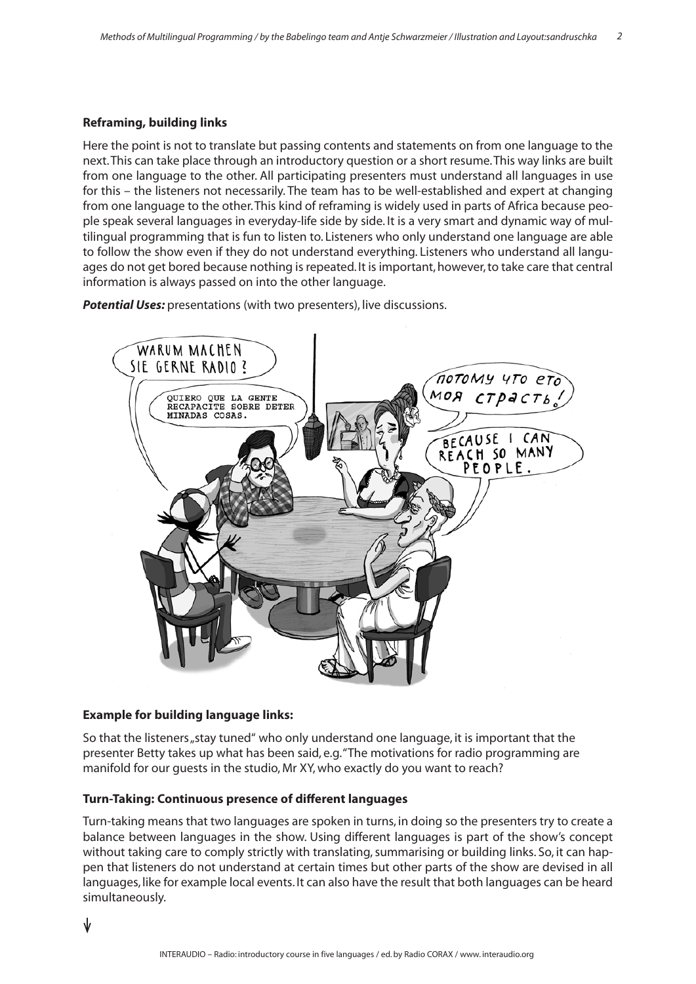### **Reframing, building links**

Here the point is not to translate but passing contents and statements on from one language to the next. This can take place through an introductory question or a short resume. This way links are built from one language to the other. All participating presenters must understand all languages in use for this – the listeners not necessarily. The team has to be well-established and expert at changing from one language to the other. This kind of reframing is widely used in parts of Africa because people speak several languages in everyday-life side by side. It is a very smart and dynamic way of multilingual programming that is fun to listen to. Listeners who only understand one language are able to follow the show even if they do not understand everything. Listeners who understand all languages do not get bored because nothing is repeated. It is important, however, to take care that central information is always passed on into the other language.

*Potential Uses:* presentations (with two presenters), live discussions.



### **Example for building language links:**

So that the listeners "stay tuned" who only understand one language, it is important that the presenter Betty takes up what has been said, e.g. "The motivations for radio programming are manifold for our guests in the studio, Mr XY, who exactly do you want to reach?

### **Turn-Taking: Continuous presence of different languages**

Turn-taking means that two languages are spoken in turns, in doing so the presenters try to create a balance between languages in the show. Using different languages is part of the show's concept without taking care to comply strictly with translating, summarising or building links. So, it can happen that listeners do not understand at certain times but other parts of the show are devised in all languages, like for example local events. It can also have the result that both languages can be heard simultaneously.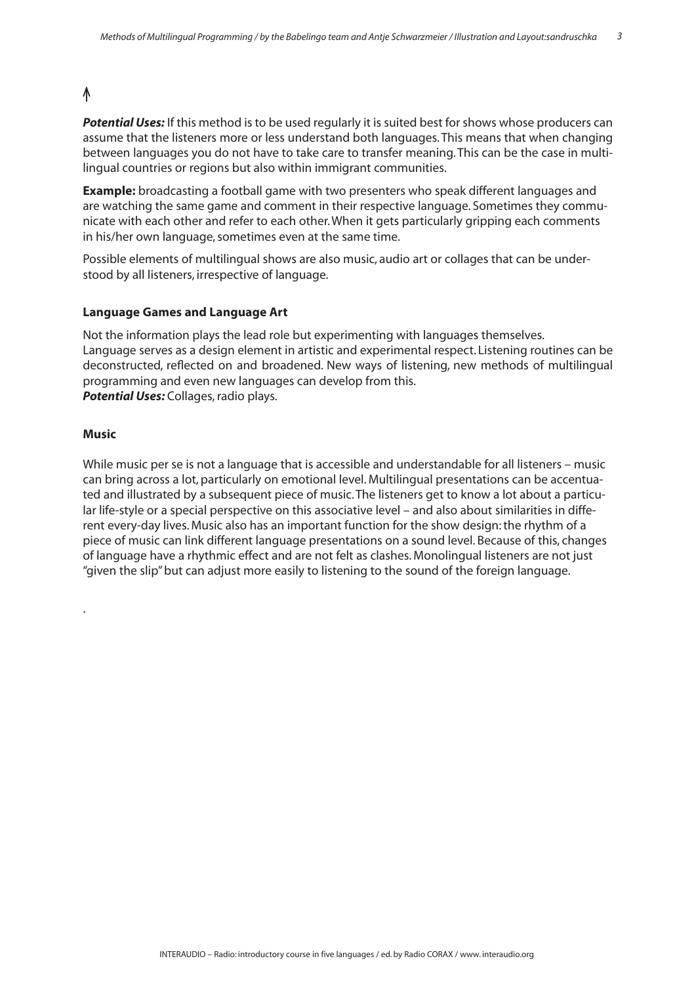### ∧

*Potential Uses:* If this method is to be used regularly it is suited best for shows whose producers can assume that the listeners more or less understand both languages. This means that when changing between languages you do not have to take care to transfer meaning. This can be the case in multilingual countries or regions but also within immigrant communities.

**Example:** broadcasting a football game with two presenters who speak different languages and are watching the same game and comment in their respective language. Sometimes they communicate with each other and refer to each other. When it gets particularly gripping each comments in his/her own language, sometimes even at the same time.

Possible elements of multilingual shows are also music, audio art or collages that can be understood by all listeners, irrespective of language.

### **Language Games and Language Art**

Not the information plays the lead role but experimenting with languages themselves. Language serves as a design element in artistic and experimental respect. Listening routines can be deconstructed, reflected on and broadened. New ways of listening, new methods of multilingual programming and even new languages can develop from this. *Potential Uses:* Collages, radio plays.

#### **Music**

.

While music per se is not a language that is accessible and understandable for all listeners – music can bring across a lot, particularly on emotional level. Multilingual presentations can be accentuated and illustrated by a subsequent piece of music. The listeners get to know a lot about a particular life-style or a special perspective on this associative level – and also about similarities in different every-day lives. Music also has an important function for the show design: the rhythm of a piece of music can link different language presentations on a sound level. Because of this, changes of language have a rhythmic effect and are not felt as clashes. Monolingual listeners are not just "given the slip" but can adjust more easily to listening to the sound of the foreign language.